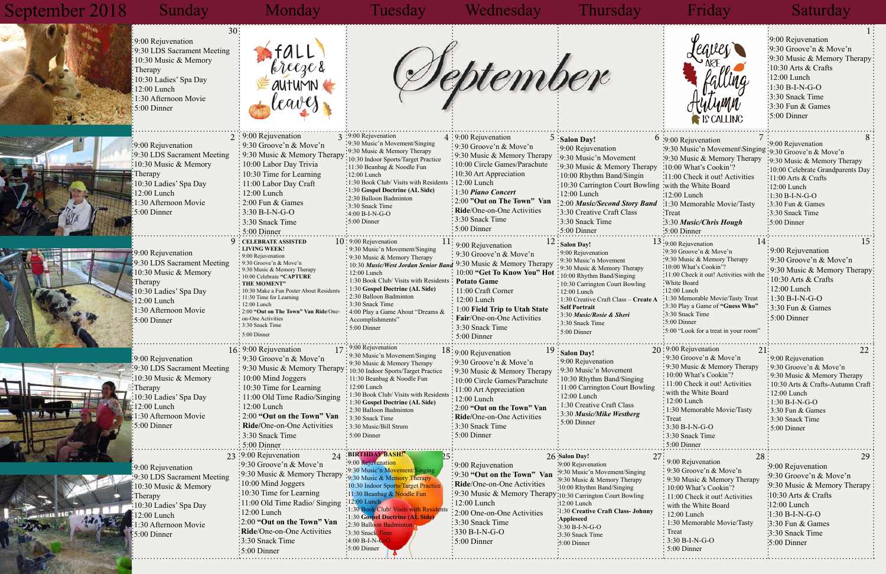## Sunday Monday Tuesday Wednesday Thursday Friday Saturday





| 30 <sup>2</sup><br>:9:00 Rejuvenation<br>:9:30 LDS Sacrament Meeting<br>10:30 Music & Memory<br>Therapy<br>10:30 Ladies' Spa Day<br>12:00 Lunch<br>1:30 Afternoon Movie<br>:5:00 Dinner | breze s                                                                                                                                                                                                                                                                                                                                                                                    |                                                                                                                                                                                                                                                                                                                                                                                                                            | stember                                                                                                                                                                                                                                                                                                  |                                                                                                                                                                                                                                                                                                                            | LLING                                                                                                                                                                                                                                                                                                                                                        | :9:00 Rejuvenation<br>:9:30 Groove'n & Move'n<br>:9:30 Music & Memory Therapy:<br>$\frac{10:30 \text{ Arts}}{8}$ Crafts<br>$\frac{12:00 \text{ Lunch}}{2}$<br>$\frac{1}{2}1:30 B-I-N-G-O$<br>3:30 Snack Time<br>$\frac{1}{3}$ :30 Fun & Games<br>$\frac{1}{2}$ 5:00 Dinner |
|-----------------------------------------------------------------------------------------------------------------------------------------------------------------------------------------|--------------------------------------------------------------------------------------------------------------------------------------------------------------------------------------------------------------------------------------------------------------------------------------------------------------------------------------------------------------------------------------------|----------------------------------------------------------------------------------------------------------------------------------------------------------------------------------------------------------------------------------------------------------------------------------------------------------------------------------------------------------------------------------------------------------------------------|----------------------------------------------------------------------------------------------------------------------------------------------------------------------------------------------------------------------------------------------------------------------------------------------------------|----------------------------------------------------------------------------------------------------------------------------------------------------------------------------------------------------------------------------------------------------------------------------------------------------------------------------|--------------------------------------------------------------------------------------------------------------------------------------------------------------------------------------------------------------------------------------------------------------------------------------------------------------------------------------------------------------|----------------------------------------------------------------------------------------------------------------------------------------------------------------------------------------------------------------------------------------------------------------------------|
| :9:00 Rejuvenation<br>:9:30 LDS Sacrament Meeting<br>10:30 Music & Memory<br>Therapy<br>10:30 Ladies' Spa Day<br>$:12:00$ Lunch<br>1:30 Afternoon Movie<br>5:00 Dinner                  | $2:9:00$ Rejuvenation<br>$\frac{1}{2}$ 9:30 Groove'n & Move'n<br>: 9:30 Music & Memory Therapy<br>: 10:00 Labor Day Trivia<br>$\frac{1}{2}$ 10:30 Time for Learning<br>$: 11:00$ Labor Day Craft<br>$\frac{1}{2}$ :00 Lunch<br>$: 2:00$ Fun & Games<br>$: 3:30 B-I-N-G-O$<br>3:30 Snack Time<br>5:00 Dinner                                                                                | 3 :9:00 Rejuvenation<br>:9:30 Music'n Movement/Singing<br>:9:30 Music & Memory Therapy<br>:10:30 Indoor Sports/Target Practice<br>:11:30 Beanbag & Noodle Fun<br>$:12:00$ Lunch<br>:1:30 Book Club/ Visits with Residents: 12:00 Lunch<br>:1:30 Gospel Doctrine (AL Side)<br>:2:30 Balloon Badminton<br>:3:30 Snack Time<br>$:4:00 B-I-N-G-O$<br>$:5:00$ Dinner                                                            | $4:9:00$ Rejuvenation<br>$\frac{1}{2}$ 9:30 Groove'n & Move'n<br>: 9:30 Music & Memory Therapy<br>: 10:00 Circle Games/Parachute<br>: 10:30 Art Appreciation<br>: 1:30 Piano Concert<br>: 2:00 "Out on The Town" Van<br>: Ride/One-on-One Activities<br>$\frac{1}{2}$ 3:30 Snack Time<br>$: 5:00$ Dinner | $5:$ Salon Day!<br>:9:00 Rejuvenation<br>:9:30 Music'n Movement<br>:9:30 Music & Memory Therapy<br>$\frac{1}{2}10:00$ Rhythm Band/Singin<br>10:30 Carrington Court Bowling : with the White Board<br>$:12:00$ Lunch<br>:2:00 Music/Second Story Band<br>:3:30 Creative Craft Class<br>:3:30 Snack Time<br>$:5:00$ Dinner   | $6:9:00$ Rejuvenation<br>:9:30 Music'n Movement\Singing :9:30 Groove'n & Move'n<br>:9:30 Music & Memory Therapy<br>:10:00 What's Cookin'?<br>:11:00 Check it out! Activities<br>$:12:00$ Lunch<br>$\cdot$ 1:30 Memorable Movie/Tasty<br>Treat <sup>:</sup><br>3:30 Music/Chris Hough<br>$\cdot 5:00$ Dinner                                                  | -9:00 Rejuvenation<br>:9:30 Music & Memory Therapy<br>:10:00 Celebrate Grandparents Day<br>$\cdot$ 11:00 Arts & Crafts<br>:12:00 Lunch<br>:1:30 B-I-N-G-O<br>$\cdot$ 3:30 Fun & Games<br>:3:30 Snack Time<br>:5:00 Dinner                                                  |
| 9:00 Rejuvenation<br>9:30 LDS Sacrament Meeting<br>$10:30$ Music & Memory<br>Therapy<br>10:30 Ladies' Spa Day<br>$12:00$ Lunch<br>1:30 Afternoon Movie<br>$\pm 5:00$ Dinner             | 9 : celebrate assisted<br><b>LIVING WEEK!</b><br>: 9:00 Rejuvenation<br>: 9:30 Groove'n & Move'n<br>: 9:30 Music & Memory Therapy<br>: 10:00 Celebrate "CAPTURE<br><b>THE MOMENT"</b><br>: 10:30 Make a Fun Poster About Residents<br>: 11:30 Time for Learning<br>$12:00$ Lunch<br>2:00 "Out on The Town" Van Ride/One-<br>on-One Activities<br>: 3:30 Snack Time<br>: $5:00$ Dinner      | $10:9:00$ Rejuvenation<br>: 9:30 Music'n Movement/Singing<br>: 9:30 Music & Memory Therapy<br>: 10:30 Music/West Jordan Senior Band 9:30 Music & Memory Therapy<br>$\div 12:00$ Lunch<br>: 1:30 Book Club/ Visits with Residents : Potato Game<br>$\div$ 1:30 Gospel Doctrine (AL Side)<br>: 2:30 Balloon Badminton<br>$\div$ 3:30 Snack Time<br>: 4:00 Play a Game About "Dreams &<br>: Accomplishments"<br>: 5:00 Dinner | $\frac{11}{2}$ : 9:00 Rejuvenation<br>$\frac{1}{2}$ 9:30 Groove'n & Move'n<br>: 10:00 "Get To Know You" Hot<br>: 11:00 Craft Corner<br>$: 12:00$ Lunch<br>1:00 Field Trip to Utah State<br>: Fair/One-on-One Activities<br>: 3:30 Snack Time<br>$: 5:00$ Dinner                                          | $12:$ Salon Day!<br>: 9:00 Rejuvenation<br>: 9:30 Music'n Movement<br>: 9:30 Music & Memory Therapy<br>: 10:00 Rhythm Band/Singing<br>: 10:30 Carrington Court Bowling<br>$: 12:00$ Lunch<br>: 1:30 Creative Craft Class - Create A<br>: Self Portrait<br>: 3:30 Music/Rosie & Sheri<br>: 3:30 Snack Time<br>: 5:00 Dinner | $14 \cdot$<br>$13:9:00$ Rejuvenation<br>:9:30 Groove'n & Move'n<br>:9:30 Music & Memory Therapy<br>·10:00 What's Cookin'?<br>:11:00 Check it out! Activities with th<br>. White Board<br>$:12:00$ Lunch<br>:1:30 Memorable Movie/Tasty Treat<br>:3:30 Play a Game of "Guess Who"<br>3:30 Snack Time<br>:5:00 Dinner<br>:5:00 "Look for a treat in your room" | 15:<br>:9:00 Rejuvenation<br>:9:30 Groove'n & Move'n<br>:9:30 Music & Memory Therapy:<br>$\div 10:30$ Arts & Crafts<br>$\frac{1}{2}12:00$ Lunch<br>$\div 1:30 B-I-N-G-O$<br>$\frac{1}{2}$ 3:30 Fun & Games<br>$\div 5:00$ Dinner                                           |
| :9:00 Rejuvenation<br>:9:30 LDS Sacrament Meeting<br>10:30 Music & Memory<br>Therapy<br>10:30 Ladies' Spa Day<br>:12:00 Lunch<br>1:30 Afternoon Movie<br>:5:00 Dinner                   | $16:9:00$ Rejuvenation<br>$\frac{1}{2}$ 9:30 Groove'n & Move'n<br>: 9:30 Music & Memory Therapy: 10:30 Indoor Sports/Target Practice<br>$\frac{1}{2}$ 10:00 Mind Joggers<br>10:30 Time for Learning<br>$\frac{1}{2}$ 11:00 Old Time Radio/Singing<br>$\frac{1}{2}$ 12:00 Lunch<br>$\frac{1}{2}$ 2:00 "Out on the Town" Van<br>Ride/One-on-One Activities<br>3:30 Snack Time<br>5:00 Dinner | $17 \cdot 9:00$ Rejuvenation<br>: 9:30 Music'n Movement/Singing<br>: 9:30 Music & Memory Therapy<br>: 11:30 Beanbag & Noodle Fun<br>$\div 12:00$ Lunch<br>: 1:30 Book Club/ Visits with Residents<br>1:30 Gospel Doctrine (AL Side)<br>: 2:30 Balloon Badminton<br>: 3:30 Snack Time<br>: 3:30 Music/Bill Strum<br>: 5:00 Dinner                                                                                           | $18:9:00$ Rejuvenation<br>19<br>: 9:30 Groove'n & Move'n<br>: 9:30 Music & Memory Therapy<br>: 10:00 Circle Games/Parachute<br>: 11:00 Art Appreciation<br>: 12:00 Lunch<br>$\frac{1}{2}$ 2:00 "Out on the Town" Van<br>: Ride/One-on-One Activities<br>$\frac{1}{2}$ 3:30 Snack Time<br>$:5:00$ Dinner  | : Salon Day!<br>: 9:00 Rejuvenation<br>:9:30 Music'n Movement<br>: 10:30 Rhythm Band/Singing<br>$\div 11:00$ Carrington Court Bowling<br>$\div 12:00$ Lunch<br>: 1:30 Creative Craft Class<br>:3:30 Music/Mike Westberg<br>$\frac{1}{2}$ 5:00 Dinner                                                                       | $20:9:00$ Rejuvenation<br>21:<br>:9:30 Groove'n & Move'n<br>: 9:30 Music & Memory Therapy<br>: 10:00 What's Cookin'?<br>: 11:00 Check it out! Activities<br>with the White Board<br>:12:00 Lunch<br>: 1:30 Memorable Movie/Tasty<br>$\cdot$ Treat<br>$:3:30 B-I-N-G-O$<br>:3:30 Snack Time<br>5:00 Dinner                                                    | 22:<br>$\frac{1}{2}9:00$ Rejuvenation<br>:9:30 Groove'n & Move'n<br>: 9:30 Music & Memory Therapy<br>: 10:30 Arts & Crafts-Autumn Craft :<br>$\frac{1}{2}12:00$ Lunch<br>$:1:30 B-I-N-G-O$<br>:3:30 Fun & Games<br>$\frac{1}{2}$ 3:30 Snack Time<br>$\div$ 5:00 Dinner     |
| 9:00 Rejuvenation<br>9:30 LDS Sacrament Meeting<br>$10:30$ Music & Memory<br>Therapy<br>10:30 Ladies' Spa Day<br>$:12:00$ Lunch<br>1:30 Afternoon Movie<br>$:5:00$ Dinner               | 23:9:00 Rejuvenation<br>24<br>:9:30 Groove'n & Move'n<br>:9:30 Music & Memory Therapy<br>:10:00 Mind Joggers<br>:10:30 Time for Learning<br>:11:00 Old Time Radio/ Singing<br>:12:00 Lunch<br>:2:00 "Out on the Town" Van<br><b>Ride/One-on-One Activities:</b><br>3:30 Snack Time<br>$:5:00$ Dinner                                                                                       | <u>;BIRTHDAY BASH!</u><br>-9:00 Rejuvenation<br>:9:30 Music'n Movement/Singing<br>9:30 Music & Memory Therapy<br>:10:30 Indoor Sports/Target Practice<br>:11:30 Beanbag & Noodle Fun<br>12:00 Lunch<br>:1:30 Book Club/ Visits with Residents<br>:1:30 Gospel Doctrine (AL Side)<br>:2:30 Balloon Badminton<br>:3:30 Snack Time<br>$:4:00 B-I-N-G-O$<br>$\cdot 5:00$ Dinner                                                | :9:00 Rejuvenation<br>:9:30 "Out on the Town" Van<br>: Ride/One-on-One Activities<br>: 9:30 Music & Memory Therapy: 10:30 Carrington Court Bowling<br>:12:00 Lunch<br>2:00 One-on-One Activities<br>:3:30 Snack Time<br>$330 B-I-N-G-O$<br>:5:00 Dinner                                                  | 26 Salon Day!<br>:9:00 Rejuvenation<br>:9:30 Music'n Movement/Singing<br>:9:30 Music & Memory Therapy<br>:10:00 Rhythm Band/Singing<br>$:12:00$ Lunch<br>:1:30 Creative Craft Class- Johnny<br>Appleseed<br>:3:30 B-I-N-G-O<br>3:30 Snack Time<br>:5:00 Dinner                                                             | 28 <sup>3</sup><br>: 9:00 Rejuvenation<br>: 9:30 Groove'n & Move'n<br>: 9:30 Music & Memory Therapy<br>$\frac{1}{2}$ 10:00 What's Cookin'?<br>: 11:00 Check it out! Activities<br>: with the White Board<br>12:00 Lunch<br>$\cdot$ 1:30 Memorable Movie/Tasty<br>$:$ Treat<br>$: 3:30 B-I-N-G-O$<br>$: 5:00$ Dinner                                          | 29<br>9:00 Rejuvenation<br>9:30 Groove'n & Move'n<br>9:30 Music & Memory Therapy<br>$:10:30$ Arts & Crafts<br>$:12:00$ Lunch<br>$:1:30 B-I-N-G-O$<br>$\cdot$ 3:30 Fun & Games<br>:3:30 Snack Time<br>$:5:00$ Dinner                                                        |

# September 2018









## 9:00 Rejuvenation 9:30 LDS Sacrament Meeting 10:30 Music & Memory Therapy 10:30 Ladies' Spa Day 12:00 Lunch 1:30 Afternoon Movie 5:00 Dinner